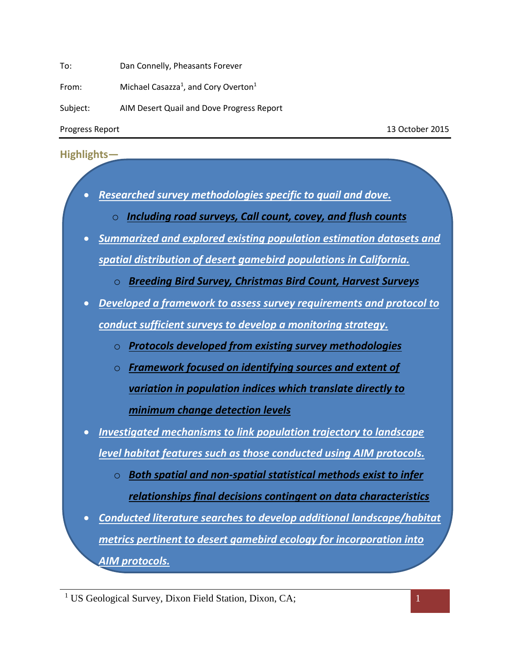To: Dan Connelly, Pheasants Forever

From: Michael Casazza<sup>1</sup>, and Cory Overton<sup>1</sup>

Subject: AIM Desert Quail and Dove Progress Report

Progress Report 13 October 2015

## **Highlights—**

- *Researched survey methodologies specific to quail and dove.*
	- o *Including road surveys, Call count, covey, and flush counts*
- *Summarized and explored existing population estimation datasets and spatial distribution of desert gamebird populations in California.*
	- o *Breeding Bird Survey, Christmas Bird Count, Harvest Surveys*
- *Developed a framework to assess survey requirements and protocol to conduct sufficient surveys to develop a monitoring strategy.*
	- o *Protocols developed from existing survey methodologies*
	- o *Framework focused on identifying sources and extent of variation in population indices which translate directly to minimum change detection levels*
- *Investigated mechanisms to link population trajectory to landscape level habitat features such as those conducted using AIM protocols.*
	- o *Both spatial and non-spatial statistical methods exist to infer relationships final decisions contingent on data characteristics*
- *Conducted literature searches to develop additional landscape/habitat metrics pertinent to desert gamebird ecology for incorporation into AIM protocols.*

<sup>&</sup>lt;sup>1</sup> US Geological Survey, Dixon Field Station, Dixon, CA; 1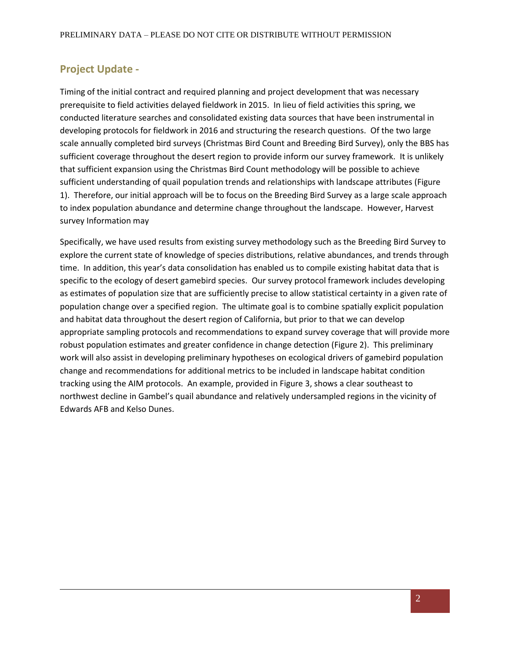## **Project Update -**

Timing of the initial contract and required planning and project development that was necessary prerequisite to field activities delayed fieldwork in 2015. In lieu of field activities this spring, we conducted literature searches and consolidated existing data sources that have been instrumental in developing protocols for fieldwork in 2016 and structuring the research questions. Of the two large scale annually completed bird surveys (Christmas Bird Count and Breeding Bird Survey), only the BBS has sufficient coverage throughout the desert region to provide inform our survey framework. It is unlikely that sufficient expansion using the Christmas Bird Count methodology will be possible to achieve sufficient understanding of quail population trends and relationships with landscape attributes (Figure 1). Therefore, our initial approach will be to focus on the Breeding Bird Survey as a large scale approach to index population abundance and determine change throughout the landscape. However, Harvest survey Information may

Specifically, we have used results from existing survey methodology such as the Breeding Bird Survey to explore the current state of knowledge of species distributions, relative abundances, and trends through time. In addition, this year's data consolidation has enabled us to compile existing habitat data that is specific to the ecology of desert gamebird species. Our survey protocol framework includes developing as estimates of population size that are sufficiently precise to allow statistical certainty in a given rate of population change over a specified region. The ultimate goal is to combine spatially explicit population and habitat data throughout the desert region of California, but prior to that we can develop appropriate sampling protocols and recommendations to expand survey coverage that will provide more robust population estimates and greater confidence in change detection (Figure 2). This preliminary work will also assist in developing preliminary hypotheses on ecological drivers of gamebird population change and recommendations for additional metrics to be included in landscape habitat condition tracking using the AIM protocols. An example, provided in Figure 3, shows a clear southeast to northwest decline in Gambel's quail abundance and relatively undersampled regions in the vicinity of Edwards AFB and Kelso Dunes.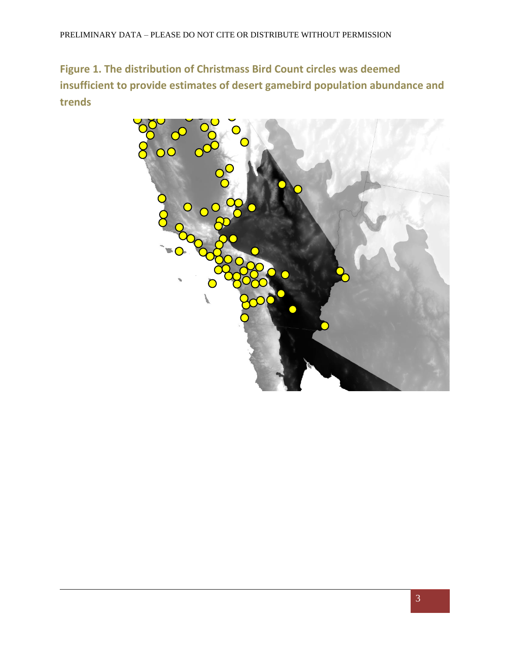**Figure 1. The distribution of Christmass Bird Count circles was deemed insufficient to provide estimates of desert gamebird population abundance and trends** 

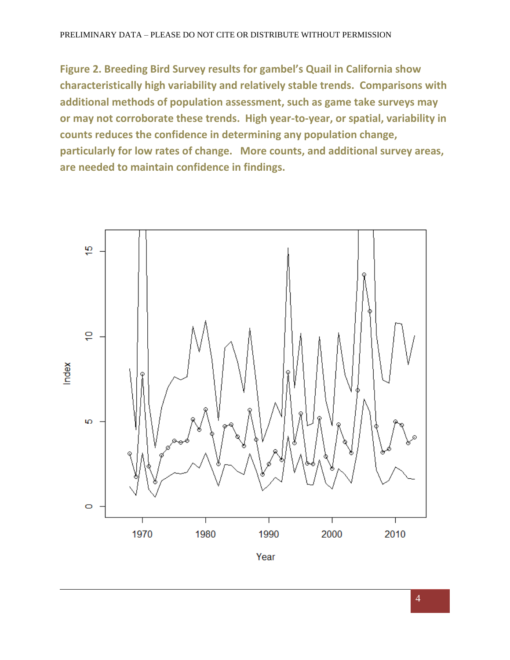**Figure 2. Breeding Bird Survey results for gambel's Quail in California show characteristically high variability and relatively stable trends. Comparisons with additional methods of population assessment, such as game take surveys may or may not corroborate these trends. High year-to-year, or spatial, variability in counts reduces the confidence in determining any population change, particularly for low rates of change. More counts, and additional survey areas, are needed to maintain confidence in findings.**

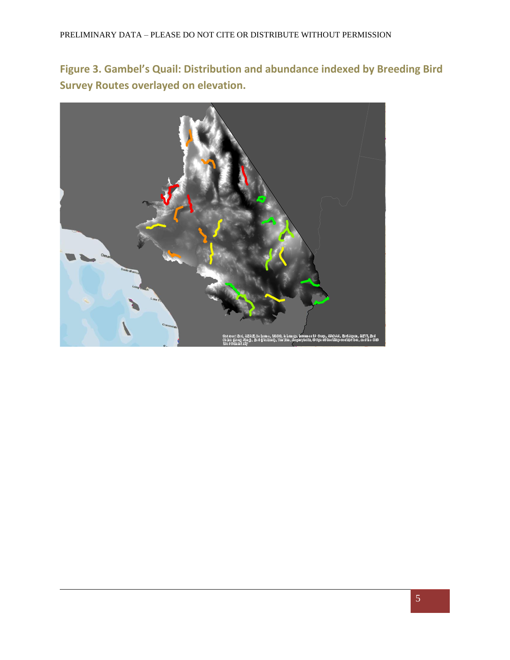**Figure 3. Gambel's Quail: Distribution and abundance indexed by Breeding Bird Survey Routes overlayed on elevation.**